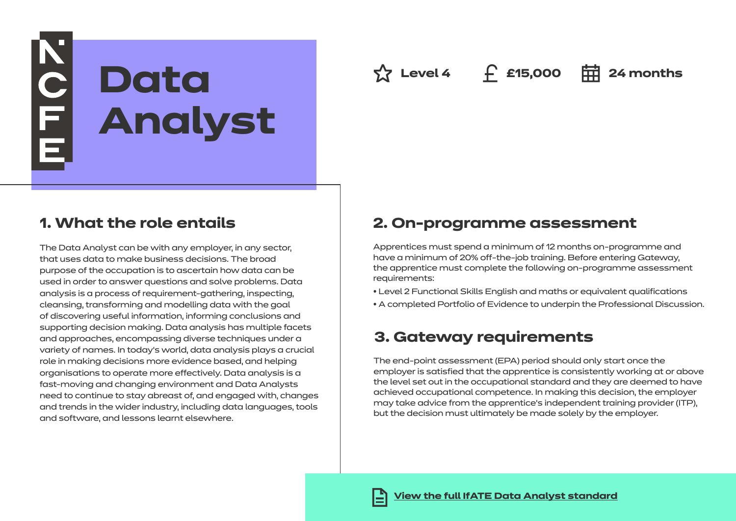# NOLLE **Data Analyst**

**Level 4 £15,000 24 months**

## **1. What the role entails**

The Data Analyst can be with any employer, in any sector, that uses data to make business decisions. The broad purpose of the occupation is to ascertain how data can be used in order to answer questions and solve problems. Data analysis is a process of requirement-gathering, inspecting, cleansing, transforming and modelling data with the goal of discovering useful information, informing conclusions and supporting decision making. Data analysis has multiple facets and approaches, encompassing diverse techniques under a variety of names. In today's world, data analysis plays a crucial role in making decisions more evidence based, and helping organisations to operate more effectively. Data analysis is a fast-moving and changing environment and Data Analysts need to continue to stay abreast of, and engaged with, changes and trends in the wider industry, including data languages, tools and software, and lessons learnt elsewhere.

## **2. On-programme assessment**

Apprentices must spend a minimum of 12 months on-programme and have a minimum of 20% off-the-job training. Before entering Gateway, the apprentice must complete the following on-programme assessment requirements:

• Level 2 Functional Skills English and maths or equivalent qualifications

• A completed Portfolio of Evidence to underpin the Professional Discussion.

# **3. Gateway requirements**

The end-point assessment (EPA) period should only start once the employer is satisfied that the apprentice is consistently working at or above the level set out in the occupational standard and they are deemed to have achieved occupational competence. In making this decision, the employer may take advice from the apprentice's independent training provider (ITP), but the decision must ultimately be made solely by the employer.